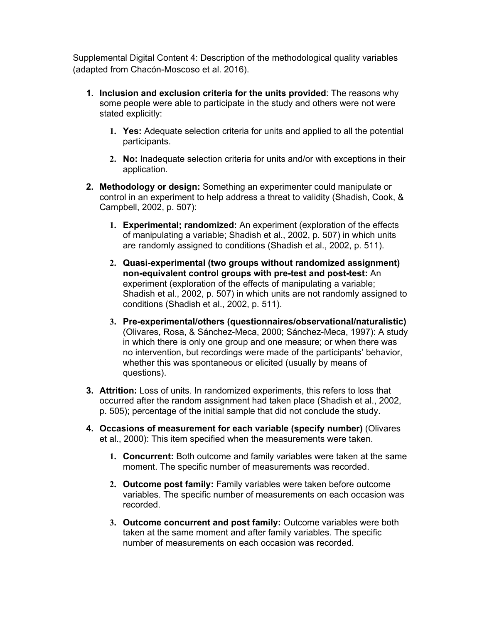Supplemental Digital Content 4: Description of the methodological quality variables (adapted from Chacón-Moscoso et al. 2016).

- **1. Inclusion and exclusion criteria for the units provided**: The reasons why some people were able to participate in the study and others were not were stated explicitly:
	- **1. Yes:** Adequate selection criteria for units and applied to all the potential participants.
	- **2. No:** Inadequate selection criteria for units and/or with exceptions in their application.
- **2. Methodology or design:** Something an experimenter could manipulate or control in an experiment to help address a threat to validity (Shadish, Cook, & Campbell, 2002, p. 507):
	- **1. Experimental; randomized:** An experiment (exploration of the effects of manipulating a variable; Shadish et al., 2002, p. 507) in which units are randomly assigned to conditions (Shadish et al., 2002, p. 511).
	- **2. Quasi-experimental (two groups without randomized assignment) non-equivalent control groups with pre-test and post-test:** An experiment (exploration of the effects of manipulating a variable; Shadish et al., 2002, p. 507) in which units are not randomly assigned to conditions (Shadish et al., 2002, p. 511).
	- **3. Pre-experimental/others (questionnaires/observational/naturalistic)**  (Olivares, Rosa, & Sánchez-Meca, 2000; Sánchez-Meca, 1997): A study in which there is only one group and one measure; or when there was no intervention, but recordings were made of the participants' behavior, whether this was spontaneous or elicited (usually by means of questions).
- **3. Attrition:** Loss of units. In randomized experiments, this refers to loss that occurred after the random assignment had taken place (Shadish et al., 2002, p. 505); percentage of the initial sample that did not conclude the study.
- **4. Occasions of measurement for each variable (specify number)** (Olivares et al., 2000): This item specified when the measurements were taken.
	- **1. Concurrent:** Both outcome and family variables were taken at the same moment. The specific number of measurements was recorded.
	- **2. Outcome post family:** Family variables were taken before outcome variables. The specific number of measurements on each occasion was recorded.
	- **3. Outcome concurrent and post family:** Outcome variables were both taken at the same moment and after family variables. The specific number of measurements on each occasion was recorded.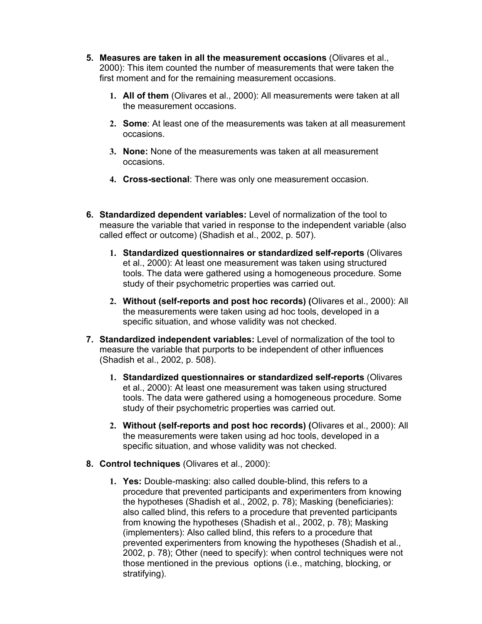- **5. Measures are taken in all the measurement occasions** (Olivares et al., 2000): This item counted the number of measurements that were taken the first moment and for the remaining measurement occasions.
	- **1. All of them** (Olivares et al., 2000): All measurements were taken at all the measurement occasions.
	- **2. Some**: At least one of the measurements was taken at all measurement occasions.
	- **3. None:** None of the measurements was taken at all measurement occasions.
	- **4. Cross-sectional**: There was only one measurement occasion.
- **6. Standardized dependent variables:** Level of normalization of the tool to measure the variable that varied in response to the independent variable (also called effect or outcome) (Shadish et al., 2002, p. 507).
	- **1. Standardized questionnaires or standardized self-reports** (Olivares et al., 2000): At least one measurement was taken using structured tools. The data were gathered using a homogeneous procedure. Some study of their psychometric properties was carried out.
	- **2. Without (self-reports and post hoc records) (**Olivares et al., 2000): All the measurements were taken using ad hoc tools, developed in a specific situation, and whose validity was not checked.
- **7. Standardized independent variables:** Level of normalization of the tool to measure the variable that purports to be independent of other influences (Shadish et al., 2002, p. 508).
	- **1. Standardized questionnaires or standardized self-reports** (Olivares et al., 2000): At least one measurement was taken using structured tools. The data were gathered using a homogeneous procedure. Some study of their psychometric properties was carried out.
	- **2. Without (self-reports and post hoc records) (**Olivares et al., 2000): All the measurements were taken using ad hoc tools, developed in a specific situation, and whose validity was not checked.
- **8. Control techniques** (Olivares et al., 2000):
	- **1. Yes:** Double-masking: also called double-blind, this refers to a procedure that prevented participants and experimenters from knowing the hypotheses (Shadish et al., 2002, p. 78); Masking (beneficiaries): also called blind, this refers to a procedure that prevented participants from knowing the hypotheses (Shadish et al., 2002, p. 78); Masking (implementers): Also called blind, this refers to a procedure that prevented experimenters from knowing the hypotheses (Shadish et al., 2002, p. 78); Other (need to specify): when control techniques were not those mentioned in the previous options (i.e., matching, blocking, or stratifying).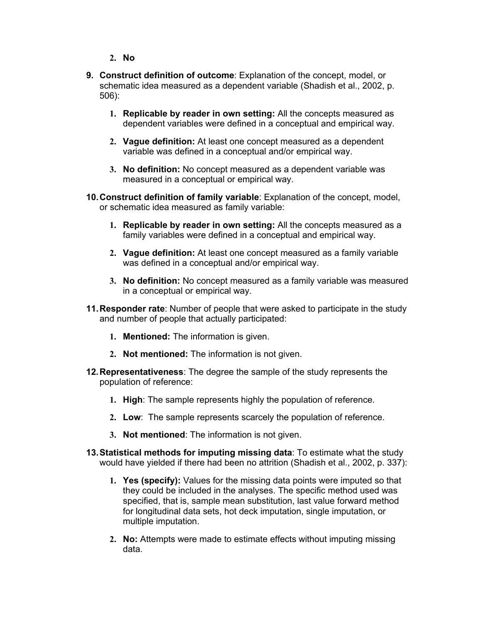**2. No** 

- **9. Construct definition of outcome**: Explanation of the concept, model, or schematic idea measured as a dependent variable (Shadish et al., 2002, p. 506):
	- **1. Replicable by reader in own setting:** All the concepts measured as dependent variables were defined in a conceptual and empirical way.
	- **2. Vague definition:** At least one concept measured as a dependent variable was defined in a conceptual and/or empirical way.
	- **3. No definition:** No concept measured as a dependent variable was measured in a conceptual or empirical way.
- **10. Construct definition of family variable**: Explanation of the concept, model, or schematic idea measured as family variable:
	- **1. Replicable by reader in own setting:** All the concepts measured as a family variables were defined in a conceptual and empirical way.
	- **2. Vague definition:** At least one concept measured as a family variable was defined in a conceptual and/or empirical way.
	- **3. No definition:** No concept measured as a family variable was measured in a conceptual or empirical way.
- **11. Responder rate**: Number of people that were asked to participate in the study and number of people that actually participated:
	- **1. Mentioned:** The information is given.
	- **2. Not mentioned:** The information is not given.
- **12. Representativeness**: The degree the sample of the study represents the population of reference:
	- **1. High**: The sample represents highly the population of reference.
	- **2. Low**: The sample represents scarcely the population of reference.
	- **3. Not mentioned**: The information is not given.
- **13. Statistical methods for imputing missing data**: To estimate what the study would have yielded if there had been no attrition (Shadish et al., 2002, p. 337):
	- **1. Yes (specify):** Values for the missing data points were imputed so that they could be included in the analyses. The specific method used was specified, that is, sample mean substitution, last value forward method for longitudinal data sets, hot deck imputation, single imputation, or multiple imputation.
	- **2. No:** Attempts were made to estimate effects without imputing missing data.